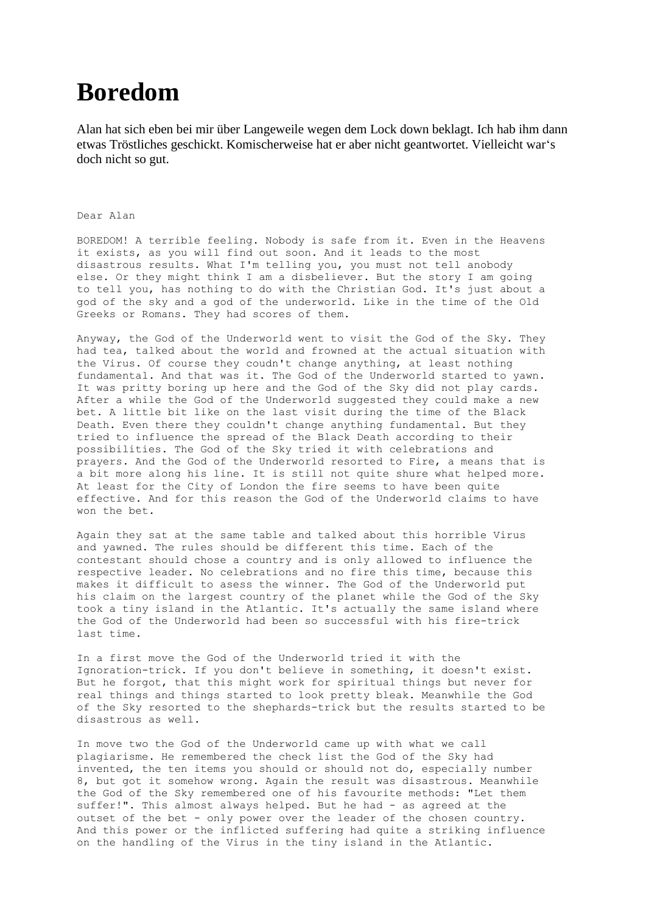## **Boredom**

Alan hat sich eben bei mir über Langeweile wegen dem Lock down beklagt. Ich hab ihm dann etwas Tröstliches geschickt. Komischerweise hat er aber nicht geantwortet. Vielleicht war's doch nicht so gut.

## Dear Alan

BOREDOM! A terrible feeling. Nobody is safe from it. Even in the Heavens it exists, as you will find out soon. And it leads to the most disastrous results. What I'm telling you, you must not tell anobody else. Or they might think I am a disbeliever. But the story I am going to tell you, has nothing to do with the Christian God. It's just about a god of the sky and a god of the underworld. Like in the time of the Old Greeks or Romans. They had scores of them.

Anyway, the God of the Underworld went to visit the God of the Sky. They had tea, talked about the world and frowned at the actual situation with the Virus. Of course they coudn't change anything, at least nothing fundamental. And that was it. The God of the Underworld started to yawn. It was pritty boring up here and the God of the Sky did not play cards. After a while the God of the Underworld suggested they could make a new bet. A little bit like on the last visit during the time of the Black Death. Even there they couldn't change anything fundamental. But they tried to influence the spread of the Black Death according to their possibilities. The God of the Sky tried it with celebrations and prayers. And the God of the Underworld resorted to Fire, a means that is a bit more along his line. It is still not quite shure what helped more. At least for the City of London the fire seems to have been quite effective. And for this reason the God of the Underworld claims to have won the bet.

Again they sat at the same table and talked about this horrible Virus and yawned. The rules should be different this time. Each of the contestant should chose a country and is only allowed to influence the respective leader. No celebrations and no fire this time, because this makes it difficult to asess the winner. The God of the Underworld put his claim on the largest country of the planet while the God of the Sky took a tiny island in the Atlantic. It's actually the same island where the God of the Underworld had been so successful with his fire-trick last time.

In a first move the God of the Underworld tried it with the Ignoration-trick. If you don't believe in something, it doesn't exist. But he forgot, that this might work for spiritual things but never for real things and things started to look pretty bleak. Meanwhile the God of the Sky resorted to the shephards-trick but the results started to be disastrous as well.

In move two the God of the Underworld came up with what we call plagiarisme. He remembered the check list the God of the Sky had invented, the ten items you should or should not do, especially number 8, but got it somehow wrong. Again the result was disastrous. Meanwhile the God of the Sky remembered one of his favourite methods: "Let them suffer!". This almost always helped. But he had - as agreed at the outset of the bet - only power over the leader of the chosen country. And this power or the inflicted suffering had quite a striking influence on the handling of the Virus in the tiny island in the Atlantic.